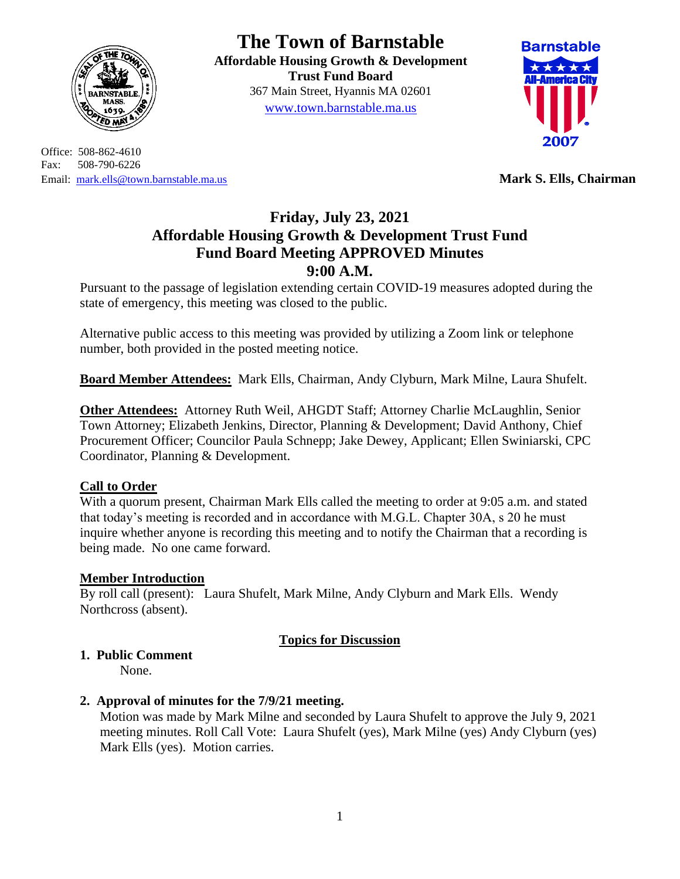

Office: 508-862-4610 Fax: 508-790-6226 Email: [mark.ells@town.barnstable.ma.us](mailto:mark.ells@town.barnstable.ma.us) **Mark S. Ells, Chairman**

# **The Town of Barnstable**

**Affordable Housing Growth & Development Trust Fund Board**  367 Main Street, Hyannis MA 02601 [www.town.barnstable.ma.us](http://www.town.barnstable.ma.us/)



# **Friday, July 23, 2021 Affordable Housing Growth & Development Trust Fund Fund Board Meeting APPROVED Minutes 9:00 A.M.**

Pursuant to the passage of legislation extending certain COVID-19 measures adopted during the state of emergency, this meeting was closed to the public.

Alternative public access to this meeting was provided by utilizing a Zoom link or telephone number, both provided in the posted meeting notice.

**Board Member Attendees:** Mark Ells, Chairman, Andy Clyburn, Mark Milne, Laura Shufelt.

**Other Attendees:** Attorney Ruth Weil, AHGDT Staff; Attorney Charlie McLaughlin, Senior Town Attorney; Elizabeth Jenkins, Director, Planning & Development; David Anthony, Chief Procurement Officer; Councilor Paula Schnepp; Jake Dewey, Applicant; Ellen Swiniarski, CPC Coordinator, Planning & Development.

# **Call to Order**

With a quorum present, Chairman Mark Ells called the meeting to order at 9:05 a.m. and stated that today's meeting is recorded and in accordance with M.G.L. Chapter 30A, s 20 he must inquire whether anyone is recording this meeting and to notify the Chairman that a recording is being made. No one came forward.

# **Member Introduction**

By roll call (present): Laura Shufelt, Mark Milne, Andy Clyburn and Mark Ells. Wendy Northcross (absent).

# **Topics for Discussion**

# **1. Public Comment**

None.

# **2. Approval of minutes for the 7/9/21 meeting.**

Motion was made by Mark Milne and seconded by Laura Shufelt to approve the July 9, 2021 meeting minutes. Roll Call Vote: Laura Shufelt (yes), Mark Milne (yes) Andy Clyburn (yes) Mark Ells (yes). Motion carries.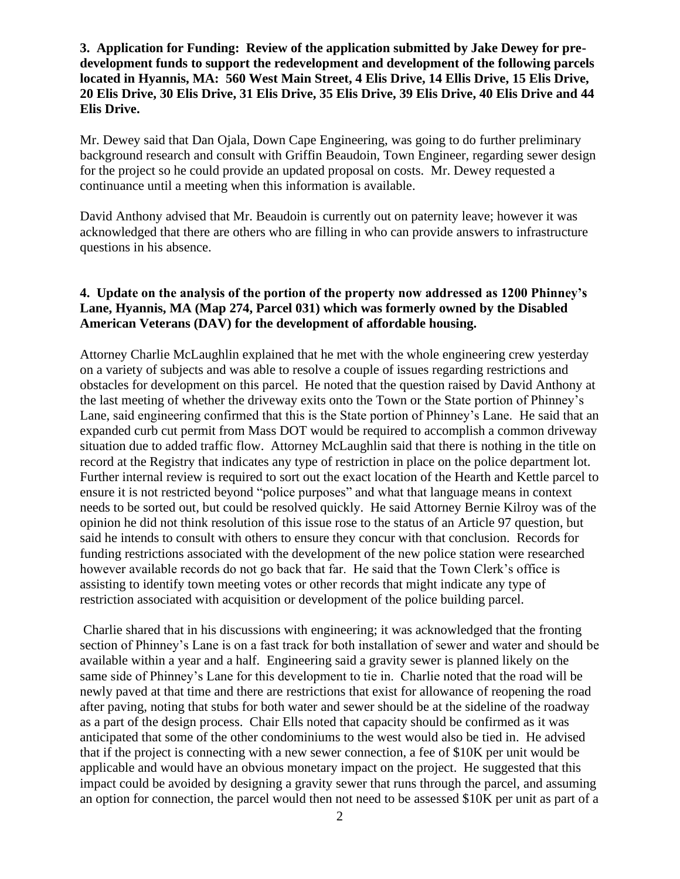#### **3. Application for Funding: Review of the application submitted by Jake Dewey for predevelopment funds to support the redevelopment and development of the following parcels located in Hyannis, MA: 560 West Main Street, 4 Elis Drive, 14 Ellis Drive, 15 Elis Drive, 20 Elis Drive, 30 Elis Drive, 31 Elis Drive, 35 Elis Drive, 39 Elis Drive, 40 Elis Drive and 44 Elis Drive.**

Mr. Dewey said that Dan Ojala, Down Cape Engineering, was going to do further preliminary background research and consult with Griffin Beaudoin, Town Engineer, regarding sewer design for the project so he could provide an updated proposal on costs. Mr. Dewey requested a continuance until a meeting when this information is available.

David Anthony advised that Mr. Beaudoin is currently out on paternity leave; however it was acknowledged that there are others who are filling in who can provide answers to infrastructure questions in his absence.

#### **4. Update on the analysis of the portion of the property now addressed as 1200 Phinney's Lane, Hyannis, MA (Map 274, Parcel 031) which was formerly owned by the Disabled American Veterans (DAV) for the development of affordable housing.**

Attorney Charlie McLaughlin explained that he met with the whole engineering crew yesterday on a variety of subjects and was able to resolve a couple of issues regarding restrictions and obstacles for development on this parcel. He noted that the question raised by David Anthony at the last meeting of whether the driveway exits onto the Town or the State portion of Phinney's Lane, said engineering confirmed that this is the State portion of Phinney's Lane. He said that an expanded curb cut permit from Mass DOT would be required to accomplish a common driveway situation due to added traffic flow. Attorney McLaughlin said that there is nothing in the title on record at the Registry that indicates any type of restriction in place on the police department lot. Further internal review is required to sort out the exact location of the Hearth and Kettle parcel to ensure it is not restricted beyond "police purposes" and what that language means in context needs to be sorted out, but could be resolved quickly. He said Attorney Bernie Kilroy was of the opinion he did not think resolution of this issue rose to the status of an Article 97 question, but said he intends to consult with others to ensure they concur with that conclusion. Records for funding restrictions associated with the development of the new police station were researched however available records do not go back that far. He said that the Town Clerk's office is assisting to identify town meeting votes or other records that might indicate any type of restriction associated with acquisition or development of the police building parcel.

Charlie shared that in his discussions with engineering; it was acknowledged that the fronting section of Phinney's Lane is on a fast track for both installation of sewer and water and should be available within a year and a half. Engineering said a gravity sewer is planned likely on the same side of Phinney's Lane for this development to tie in. Charlie noted that the road will be newly paved at that time and there are restrictions that exist for allowance of reopening the road after paving, noting that stubs for both water and sewer should be at the sideline of the roadway as a part of the design process. Chair Ells noted that capacity should be confirmed as it was anticipated that some of the other condominiums to the west would also be tied in. He advised that if the project is connecting with a new sewer connection, a fee of \$10K per unit would be applicable and would have an obvious monetary impact on the project. He suggested that this impact could be avoided by designing a gravity sewer that runs through the parcel, and assuming an option for connection, the parcel would then not need to be assessed \$10K per unit as part of a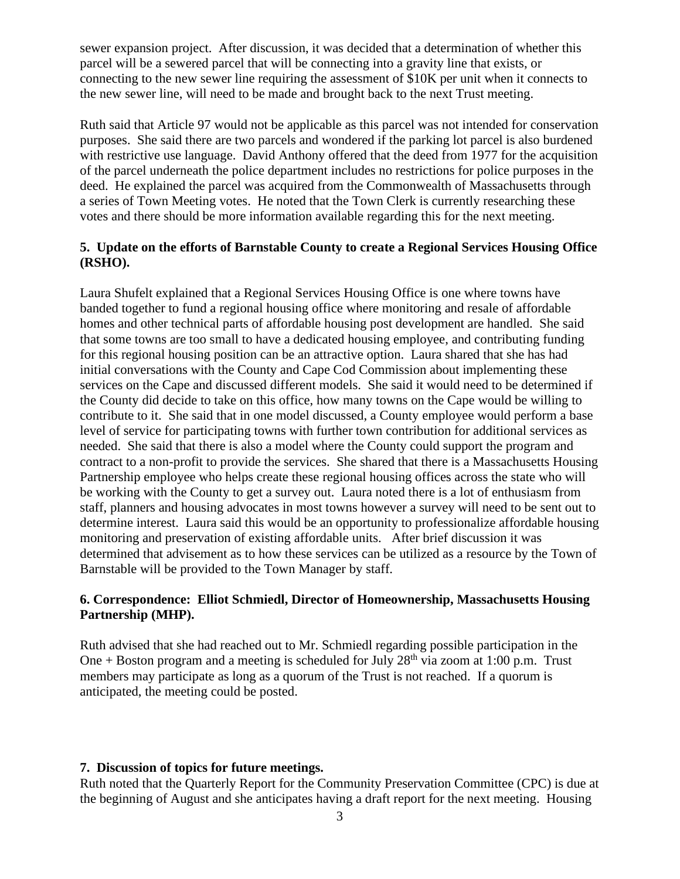sewer expansion project. After discussion, it was decided that a determination of whether this parcel will be a sewered parcel that will be connecting into a gravity line that exists, or connecting to the new sewer line requiring the assessment of \$10K per unit when it connects to the new sewer line, will need to be made and brought back to the next Trust meeting.

Ruth said that Article 97 would not be applicable as this parcel was not intended for conservation purposes. She said there are two parcels and wondered if the parking lot parcel is also burdened with restrictive use language. David Anthony offered that the deed from 1977 for the acquisition of the parcel underneath the police department includes no restrictions for police purposes in the deed. He explained the parcel was acquired from the Commonwealth of Massachusetts through a series of Town Meeting votes. He noted that the Town Clerk is currently researching these votes and there should be more information available regarding this for the next meeting.

#### **5. Update on the efforts of Barnstable County to create a Regional Services Housing Office (RSHO).**

Laura Shufelt explained that a Regional Services Housing Office is one where towns have banded together to fund a regional housing office where monitoring and resale of affordable homes and other technical parts of affordable housing post development are handled. She said that some towns are too small to have a dedicated housing employee, and contributing funding for this regional housing position can be an attractive option. Laura shared that she has had initial conversations with the County and Cape Cod Commission about implementing these services on the Cape and discussed different models. She said it would need to be determined if the County did decide to take on this office, how many towns on the Cape would be willing to contribute to it. She said that in one model discussed, a County employee would perform a base level of service for participating towns with further town contribution for additional services as needed. She said that there is also a model where the County could support the program and contract to a non-profit to provide the services. She shared that there is a Massachusetts Housing Partnership employee who helps create these regional housing offices across the state who will be working with the County to get a survey out. Laura noted there is a lot of enthusiasm from staff, planners and housing advocates in most towns however a survey will need to be sent out to determine interest. Laura said this would be an opportunity to professionalize affordable housing monitoring and preservation of existing affordable units. After brief discussion it was determined that advisement as to how these services can be utilized as a resource by the Town of Barnstable will be provided to the Town Manager by staff.

#### **6. Correspondence: Elliot Schmiedl, Director of Homeownership, Massachusetts Housing Partnership (MHP).**

Ruth advised that she had reached out to Mr. Schmiedl regarding possible participation in the One + Boston program and a meeting is scheduled for July  $28<sup>th</sup>$  via zoom at 1:00 p.m. Trust members may participate as long as a quorum of the Trust is not reached. If a quorum is anticipated, the meeting could be posted.

#### **7. Discussion of topics for future meetings.**

Ruth noted that the Quarterly Report for the Community Preservation Committee (CPC) is due at the beginning of August and she anticipates having a draft report for the next meeting. Housing